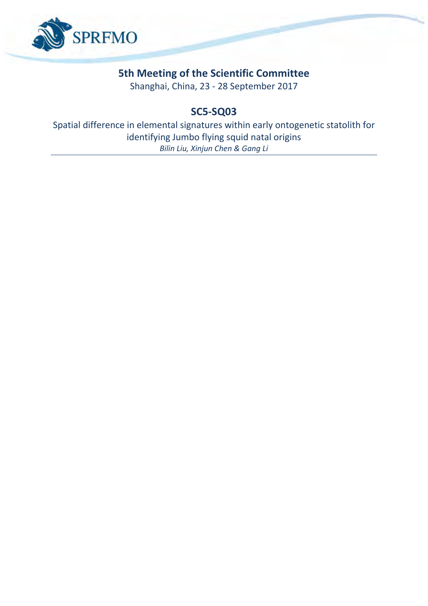

## **5th Meeting of the Scientific Committee**

Shanghai, China, 23 - 28 September 2017

## **SC5-SQ03**

Spatial difference in elemental signatures within early ontogenetic statolith for identifying Jumbo flying squid natal origins *Bilin Liu, Xinjun Chen & Gang Li*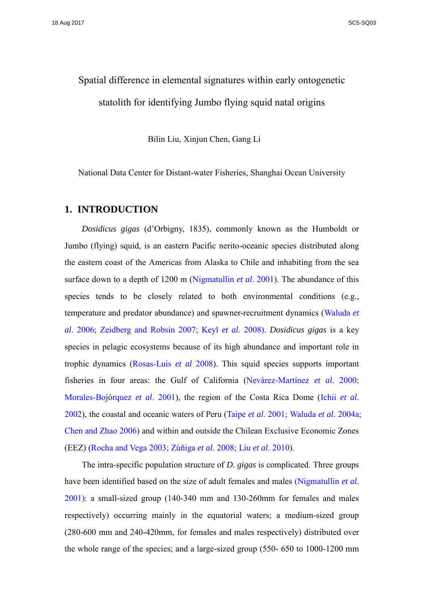# Spatial difference in elemental signatures within early ontogenetic statolith for identifying Jumbo flying squid natal origins

Bilin Liu, Xinjun Chen, Gang Li

National Data Center for Distant-water Fisheries, Shanghai Ocean University

#### **1. INTRODUCTION**

*Dosidicus gigas* (d'Orbigny, 1835), commonly known as the Humboldt or Jumbo (flying) squid, is an eastern Pacific nerito-oceanic species distributed along the eastern coast of the Americas from Alaska to Chile and inhabiting from the sea surface down to a depth of 1200 m (Nigmatullin *et al*. 2001). The abundance of this species tends to be closely related to both environmental conditions (e.g., temperature and predator abundance) and spawner-recruitment dynamics (Waluda *et al*. 2006; Zeidberg and Robsin 2007; Keyl *et al*. 2008). *Dosidicus gigas* is a key species in pelagic ecosystems because of its high abundance and important role in trophic dynamics (Rosas-Luis *et al* 2008). This squid species supports important fisheries in four areas: the Gulf of California (Nevárez-Martínez *et al*. 2000; Morales-Bojórquez *et al*. 2001), the region of the Costa Rica Dome (Ichii *et al*. 2002), the coastal and oceanic waters of Peru (Taipe *et al*. 2001; Waluda *et al*. 2004a; Chen and Zhao 2006) and within and outside the Chilean Exclusive Economic Zones (EEZ) (Rocha and Vega 2003; Zúñiga *et al*. 2008; Liu *et al*. 2010).

The intra-specific population structure of *D. gigas* is complicated. Three groups have been identified based on the size of adult females and males (Nigmatullin *et al*. 2001): a small-sized group (140-340 mm and 130-260mm for females and males respectively) occurring mainly in the equatorial waters; a medium-sized group (280-600 mm and 240-420mm, for females and males respectively) distributed over the whole range of the species; and a large-sized group (550- 650 to 1000-1200 mm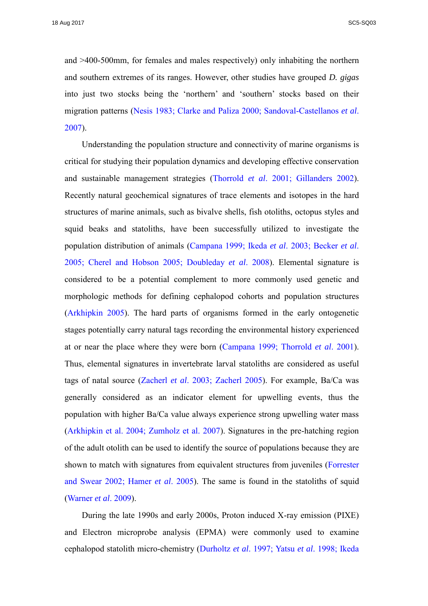and >400-500mm, for females and males respectively) only inhabiting the northern and southern extremes of its ranges. However, other studies have grouped *D. gigas*  into just two stocks being the 'northern' and 'southern' stocks based on their migration patterns (Nesis 1983; Clarke and Paliza 2000; Sandoval-Castellanos *et al*. 2007).

Understanding the population structure and connectivity of marine organisms is critical for studying their population dynamics and developing effective conservation and sustainable management strategies (Thorrold *et al*. 2001; Gillanders 2002). Recently natural geochemical signatures of trace elements and isotopes in the hard structures of marine animals, such as bivalve shells, fish otoliths, octopus styles and squid beaks and statoliths, have been successfully utilized to investigate the population distribution of animals (Campana 1999; Ikeda *et al*. 2003; Becker *et al*. 2005; Cherel and Hobson 2005; Doubleday *et al*. 2008). Elemental signature is considered to be a potential complement to more commonly used genetic and morphologic methods for defining cephalopod cohorts and population structures (Arkhipkin 2005). The hard parts of organisms formed in the early ontogenetic stages potentially carry natural tags recording the environmental history experienced at or near the place where they were born (Campana 1999; Thorrold *et al*. 2001). Thus, elemental signatures in invertebrate larval statoliths are considered as useful tags of natal source (Zacherl *et al*. 2003; Zacherl 2005). For example, Ba/Ca was generally considered as an indicator element for upwelling events, thus the population with higher Ba/Ca value always experience strong upwelling water mass (Arkhipkin et al. 2004; Zumholz et al. 2007). Signatures in the pre-hatching region of the adult otolith can be used to identify the source of populations because they are shown to match with signatures from equivalent structures from juveniles (Forrester and Swear 2002; Hamer *et al*. 2005). The same is found in the statoliths of squid (Warner *et al*. 2009).

During the late 1990s and early 2000s, Proton induced X-ray emission (PIXE) and Electron microprobe analysis (EPMA) were commonly used to examine cephalopod statolith micro-chemistry (Durholtz *et al*. 1997; Yatsu *et al*. 1998; Ikeda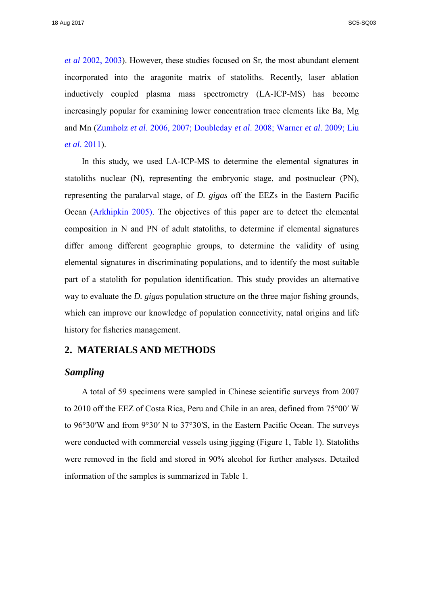*et al* 2002, 2003). However, these studies focused on Sr, the most abundant element incorporated into the aragonite matrix of statoliths. Recently, laser ablation inductively coupled plasma mass spectrometry (LA-ICP-MS) has become increasingly popular for examining lower concentration trace elements like Ba, Mg and Mn (Zumholz *et al*. 2006, 2007; Doubleday *et al*. 2008; Warner *et al*. 2009; Liu *et al*. 2011).

In this study, we used LA-ICP-MS to determine the elemental signatures in statoliths nuclear (N), representing the embryonic stage, and postnuclear (PN), representing the paralarval stage, of *D. gigas* off the EEZs in the Eastern Pacific Ocean (Arkhipkin 2005). The objectives of this paper are to detect the elemental composition in N and PN of adult statoliths, to determine if elemental signatures differ among different geographic groups, to determine the validity of using elemental signatures in discriminating populations, and to identify the most suitable part of a statolith for population identification. This study provides an alternative way to evaluate the *D. gigas* population structure on the three major fishing grounds, which can improve our knowledge of population connectivity, natal origins and life history for fisheries management.

#### **2. MATERIALS AND METHODS**

#### *Sampling*

A total of 59 specimens were sampled in Chinese scientific surveys from 2007 to 2010 off the EEZ of Costa Rica, Peru and Chile in an area, defined from 75°00′ W to 96°30′W and from 9°30′ N to 37°30′S, in the Eastern Pacific Ocean. The surveys were conducted with commercial vessels using jigging (Figure 1, Table 1). Statoliths were removed in the field and stored in 90% alcohol for further analyses. Detailed information of the samples is summarized in Table 1.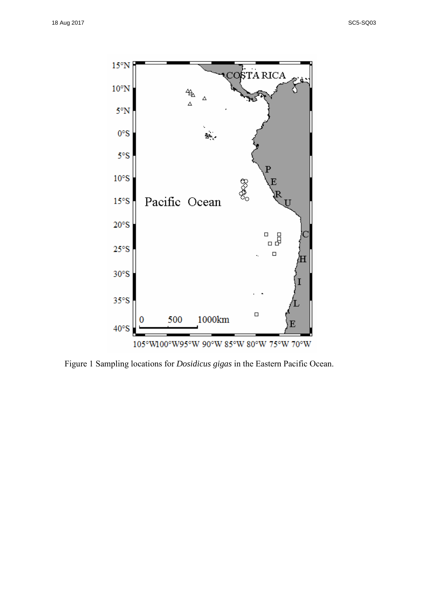

Figure 1 Sampling locations for *Dosidicus gigas* in the Eastern Pacific Ocean.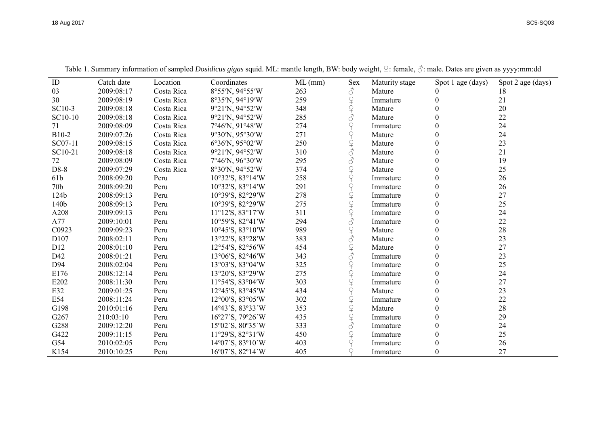| ID              | Catch date | Location   | Coordinates                                          | $ML$ (mm) | Sex                                                                                                                                                                                                                                                                                                                                                                                                                     | Maturity stage | Spot 1 age (days) | Spot 2 age (days) |
|-----------------|------------|------------|------------------------------------------------------|-----------|-------------------------------------------------------------------------------------------------------------------------------------------------------------------------------------------------------------------------------------------------------------------------------------------------------------------------------------------------------------------------------------------------------------------------|----------------|-------------------|-------------------|
| 03              | 2009:08:17 | Costa Rica | 8°55'N, 94°55'W                                      | 263       | $\mathcal{C}$                                                                                                                                                                                                                                                                                                                                                                                                           | Mature         | $\theta$          | 18                |
| 30              | 2009:08:19 | Costa Rica | 8°35'N, 94°19'W                                      | 259       |                                                                                                                                                                                                                                                                                                                                                                                                                         | Immature       | 0                 | 21                |
| SC10-3          | 2009:08:18 | Costa Rica | 9°21'N, 94°52'W                                      | 348       | 9494                                                                                                                                                                                                                                                                                                                                                                                                                    | Mature         | 0                 | 20                |
| SC10-10         | 2009:08:18 | Costa Rica | 9°21'N, 94°52'W                                      | 285       |                                                                                                                                                                                                                                                                                                                                                                                                                         | Mature         | 0                 | 22                |
| 71              | 2009:08:09 | Costa Rica | 7°46'N, 91°48'W                                      | 274       |                                                                                                                                                                                                                                                                                                                                                                                                                         | Immature       | $\theta$          | 24                |
| B10-2           | 2009:07:26 | Costa Rica | 9°30'N, 95°30'W                                      | 271       |                                                                                                                                                                                                                                                                                                                                                                                                                         | Mature         | 0                 | 24                |
| SC07-11         | 2009:08:15 | Costa Rica | $6^{\circ}36^{\prime}N$ , $95^{\circ}02^{\prime}W$   | 250       |                                                                                                                                                                                                                                                                                                                                                                                                                         | Mature         | 0                 | 23                |
| SC10-21         | 2009:08:18 | Costa Rica | 9°21'N, 94°52'W                                      | 310       | 9494048                                                                                                                                                                                                                                                                                                                                                                                                                 | Mature         | 0                 | 21                |
| 72              | 2009:08:09 | Costa Rica | 7°46'N, 96°30'W                                      | 295       | $\mathcal{S}$                                                                                                                                                                                                                                                                                                                                                                                                           | Mature         | 0                 | 19                |
| D8-8            | 2009:07:29 | Costa Rica | 8°30'N, 94°52'W                                      | 374       |                                                                                                                                                                                                                                                                                                                                                                                                                         | Mature         | 0                 | 25                |
| 61b             | 2008:09:20 | Peru       | $10^{\circ}32^{\prime}S$ , $83^{\circ}14^{\prime}W$  | 258       |                                                                                                                                                                                                                                                                                                                                                                                                                         | Immature       | 0                 | 26                |
| 70 <sub>b</sub> | 2008:09:20 | Peru       | $10^{\circ}32^{\prime}$ S, $83^{\circ}14^{\prime}$ W | 291       | 9+9+9+9+9+9+9                                                                                                                                                                                                                                                                                                                                                                                                           | Immature       | $\theta$          | 26                |
| 124b            | 2008:09:13 | Peru       | 10°39'S, 82°29'W                                     | 278       |                                                                                                                                                                                                                                                                                                                                                                                                                         | Immature       | 0                 | 27                |
| 140b            | 2008:09:13 | Peru       | 10°39'S, 82°29'W                                     | 275       |                                                                                                                                                                                                                                                                                                                                                                                                                         | Immature       | $\theta$          | 25                |
| A208            | 2009:09:13 | Peru       | $11^{\circ}12^{\prime}S$ , $83^{\circ}17^{\prime}W$  | 311       |                                                                                                                                                                                                                                                                                                                                                                                                                         | Immature       | $\theta$          | 24                |
| A77             | 2009:10:01 | Peru       | $10°59'$ S, $82°41'$ W                               | 294       |                                                                                                                                                                                                                                                                                                                                                                                                                         | Immature       | 0                 | 22                |
| C0923           | 2009:09:23 | Peru       | $10^{\circ}45^{\prime}$ S, $83^{\circ}10^{\prime}$ W | 989       |                                                                                                                                                                                                                                                                                                                                                                                                                         | Mature         | 0                 | 28                |
| D107            | 2008:02:11 | Peru       | 13°22′S, 83°28′W                                     | 383       | 949940404040404949                                                                                                                                                                                                                                                                                                                                                                                                      | Mature         | 0                 | 23                |
| D12             | 2008:01:10 | Peru       | $12°54'$ S, $82°56'$ W                               | 454       |                                                                                                                                                                                                                                                                                                                                                                                                                         | Mature         | 0                 | 27                |
| D42             | 2008:01:21 | Peru       | 13°06'S, 82°46'W                                     | 343       |                                                                                                                                                                                                                                                                                                                                                                                                                         | Immature       | 0                 | 23                |
| D94             | 2008:02:04 | Peru       | 13°03'S, 83°04'W                                     | 325       |                                                                                                                                                                                                                                                                                                                                                                                                                         | Immature       | 0                 | 25                |
| E176            | 2008:12:14 | Peru       | 13°20'S, 83°29'W                                     | 275       |                                                                                                                                                                                                                                                                                                                                                                                                                         | Immature       | $\theta$          | 24                |
| E202            | 2008:11:30 | Peru       | $11°54'$ S, $83°04'$ W                               | 303       |                                                                                                                                                                                                                                                                                                                                                                                                                         | Immature       | 0                 | 27                |
| E32             | 2009:01:25 | Peru       | $12^{\circ}45^{\prime}S$ , $83^{\circ}45^{\prime}W$  | 434       |                                                                                                                                                                                                                                                                                                                                                                                                                         | Mature         | $\theta$          | 23                |
| E54             | 2008:11:24 | Peru       | $12^{\circ}00^{\prime}$ S, $83^{\circ}05^{\prime}$ W | 302       |                                                                                                                                                                                                                                                                                                                                                                                                                         | Immature       | 0                 | 22                |
| G198            | 2010:01:16 | Peru       | 14°43'S, 83°33'W                                     | 353       |                                                                                                                                                                                                                                                                                                                                                                                                                         | Mature         | 0                 | 28                |
| G267            | 210:03:10  | Peru       | 16°27'S, 79°26'W                                     | 435       |                                                                                                                                                                                                                                                                                                                                                                                                                         | Immature       | 0                 | 29                |
| G288            | 2009:12:20 | Peru       | 15°02'S, 80°35'W                                     | 333       |                                                                                                                                                                                                                                                                                                                                                                                                                         | Immature       | 0                 | 24                |
| G422            | 2009:11:15 | Peru       | $11°29'$ S, $82°31'$ W                               | 450       |                                                                                                                                                                                                                                                                                                                                                                                                                         | Immature       | $\theta$          | 25                |
| G54             | 2010:02:05 | Peru       | 14°07'S, 83°10'W                                     | 403       | $\begin{array}{c} \n\text{Q} + \text{Q} + \text{Q} + \text{Q} + \text{Q} + \text{Q} + \text{Q} + \text{Q} + \text{Q} + \text{Q} + \text{Q} + \text{Q} + \text{Q} + \text{Q} + \text{Q} + \text{Q} + \text{Q} + \text{Q} + \text{Q} + \text{Q} + \text{Q} + \text{Q} + \text{Q} + \text{Q} + \text{Q} + \text{Q} + \text{Q} + \text{Q} + \text{Q} + \text{Q} + \text{Q} + \text{Q} + \text{Q} + \text{Q} + \text{Q} + \$ | Immature       | 0                 | 26                |
| K154            | 2010:10:25 | Peru       | $16^{\circ}07^{\prime}$ S, 82°14 $^{\prime}$ W       | 405       |                                                                                                                                                                                                                                                                                                                                                                                                                         | Immature       | 0                 | 27                |

Table 1. Summary information of sampled *Dosidicus gigas* squid. ML: mantle length, BW: body weight, ♀: female, ♂: male. Dates are given as yyyy:mm:dd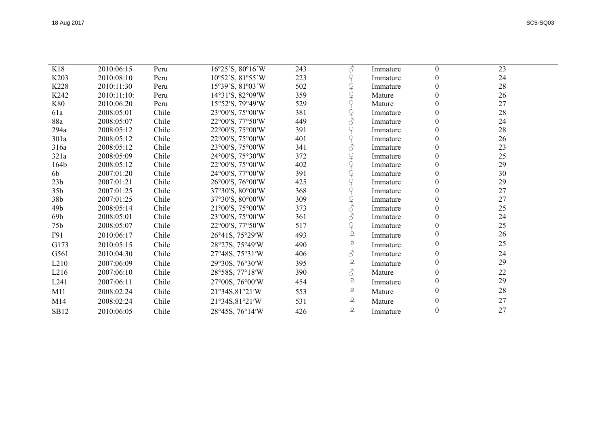| SC5-SO03 |  |
|----------|--|

| K18              | 2010:06:15  | Peru  | 16°25'S, 80°16'W                                    | 243 | 8                                                                                                                                                                                                                                                                                                                                                                                                                                 | Immature | $\theta$ | 23 |
|------------------|-------------|-------|-----------------------------------------------------|-----|-----------------------------------------------------------------------------------------------------------------------------------------------------------------------------------------------------------------------------------------------------------------------------------------------------------------------------------------------------------------------------------------------------------------------------------|----------|----------|----|
| K203             | 2010:08:10  | Peru  | 10°52'S, 81°55'W                                    | 223 | $\mathsf{P}$                                                                                                                                                                                                                                                                                                                                                                                                                      | Immature | $\theta$ | 24 |
| K228             | 2010:11:30  | Peru  | 15°39'S, 81°03'W                                    | 502 | $\overline{P}$                                                                                                                                                                                                                                                                                                                                                                                                                    | Immature |          | 28 |
| K242             | 2010:11:10: | Peru  | 14°31'S, 82°09'W                                    | 359 |                                                                                                                                                                                                                                                                                                                                                                                                                                   | Mature   |          | 26 |
| <b>K80</b>       | 2010:06:20  | Peru  | 15°52'S, 79°49'W                                    | 529 |                                                                                                                                                                                                                                                                                                                                                                                                                                   | Mature   |          | 27 |
| 61a              | 2008:05:01  | Chile | 23°00'S, 75°00'W                                    | 381 | 9+9+9+8                                                                                                                                                                                                                                                                                                                                                                                                                           | Immature |          | 28 |
| 88a              | 2008:05:07  | Chile | 22°00'S, 77°50'W                                    | 449 |                                                                                                                                                                                                                                                                                                                                                                                                                                   | Immature |          | 24 |
| 294a             | 2008:05:12  | Chile | 22°00'S, 75°00'W                                    | 391 | 94948                                                                                                                                                                                                                                                                                                                                                                                                                             | Immature |          | 28 |
| 301a             | 2008:05:12  | Chile | 22°00'S, 75°00'W                                    | 401 |                                                                                                                                                                                                                                                                                                                                                                                                                                   | Immature |          | 26 |
| 316a             | 2008:05:12  | Chile | 23°00'S, 75°00'W                                    | 341 |                                                                                                                                                                                                                                                                                                                                                                                                                                   | Immature |          | 23 |
| 321a             | 2008:05:09  | Chile | 24°00'S, 75°30'W                                    | 372 | $\curvearrowright$                                                                                                                                                                                                                                                                                                                                                                                                                | Immature |          | 25 |
| 164b             | 2008:05:12  | Chile | 22°00'S, 75°00'W                                    | 402 |                                                                                                                                                                                                                                                                                                                                                                                                                                   | Immature |          | 29 |
| 6b               | 2007:01:20  | Chile | 24°00'S, 77°00'W                                    | 391 | $\begin{array}{c} \n\textcircled{\tiny{+}}\\ \n\textcircled{\tiny{+}} \n\end{array}$                                                                                                                                                                                                                                                                                                                                              | Immature |          | 30 |
| 23 <sub>b</sub>  | 2007:01:21  | Chile | 26°00'S, 76°00'W                                    | 425 |                                                                                                                                                                                                                                                                                                                                                                                                                                   | Immature | 0        | 29 |
| 35 <sub>b</sub>  | 2007:01:25  | Chile | 37°30'S, 80°00'W                                    | 368 |                                                                                                                                                                                                                                                                                                                                                                                                                                   | Immature |          | 27 |
| 38b              | 2007:01:25  | Chile | 37°30'S, 80°00'W                                    | 309 | 94948                                                                                                                                                                                                                                                                                                                                                                                                                             | Immature | $\Omega$ | 27 |
| 49 <sub>b</sub>  | 2008:05:14  | Chile | $21^{\circ}00^{\prime}S$ , $75^{\circ}00^{\prime}W$ | 373 |                                                                                                                                                                                                                                                                                                                                                                                                                                   | Immature |          | 25 |
| 69b              | 2008:05:01  | Chile | 23°00'S, 75°00'W                                    | 361 | 8                                                                                                                                                                                                                                                                                                                                                                                                                                 | Immature | 0        | 24 |
| 75 <sub>b</sub>  | 2008:05:07  | Chile | 22°00'S, 77°50'W                                    | 517 | $\varphi$                                                                                                                                                                                                                                                                                                                                                                                                                         | Immature |          | 25 |
| F91              | 2010:06:17  | Chile | 26°41S, 75°29′W                                     | 493 | $\overline{P}$                                                                                                                                                                                                                                                                                                                                                                                                                    | Immature |          | 26 |
| G173             | 2010:05:15  | Chile | 28°27S, 75°49'W                                     | 490 | $\overline{P}$                                                                                                                                                                                                                                                                                                                                                                                                                    | Immature | $\Omega$ | 25 |
| G561             | 2010:04:30  | Chile | 27°48S, 75°31′W                                     | 406 | $\vec{\mathcal{S}}$                                                                                                                                                                                                                                                                                                                                                                                                               | Immature | $\theta$ | 24 |
| L <sub>210</sub> | 2007:06:09  | Chile | 29°30S, 76°30′W                                     | 395 | $\overline{P}$                                                                                                                                                                                                                                                                                                                                                                                                                    | Immature |          | 29 |
| L216             | 2007:06:10  | Chile | 28°58S, 77°18′W                                     | 390 | $\mathcal{S}% _{M_{1},M_{2}}^{\ast }=\mathcal{S}_{M_{1},M_{2}}^{\ast }=\mathcal{S}_{M_{1},M_{2}}^{\ast }=\mathcal{S}_{M_{1},M_{2}}^{\ast }=\mathcal{S}_{M_{1},M_{2}}^{\ast }=\mathcal{S}_{M_{1},M_{2}}^{\ast }=\mathcal{S}_{M_{1},M_{2}}^{\ast }=\mathcal{S}_{M_{1},M_{2}}^{\ast }=\mathcal{S}_{M_{1},M_{2}}^{\ast }=\mathcal{S}_{M_{1},M_{2}}^{\ast }=\mathcal{S}_{M_{1},M_{2}}^{\ast }=\mathcal{S}_{M_{1},M_{2}}^{\ast }=\math$ | Mature   |          | 22 |
| L241             | 2007:06:11  | Chile | 27°00S, 76°00'W                                     | 454 | $\overline{P}$                                                                                                                                                                                                                                                                                                                                                                                                                    | Immature |          | 29 |
| M11              | 2008:02:24  | Chile | 21°34S,81°21′W                                      | 553 | $\overline{P}$                                                                                                                                                                                                                                                                                                                                                                                                                    | Mature   | $\theta$ | 28 |
| M14              | 2008:02:24  | Chile | 21°34S,81°21′W                                      | 531 | $\overline{P}$                                                                                                                                                                                                                                                                                                                                                                                                                    | Mature   | $\theta$ | 27 |
| <b>SB12</b>      | 2010:06:05  | Chile | 28°45S, 76°14′W                                     | 426 | $\overline{P}$                                                                                                                                                                                                                                                                                                                                                                                                                    | Immature | $\Omega$ | 27 |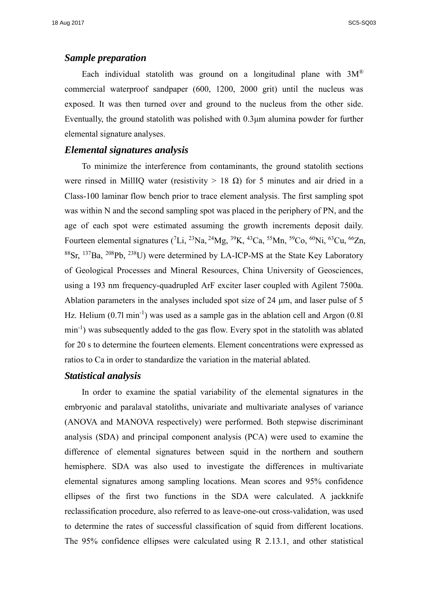#### *Sample preparation*

Each individual statolith was ground on a longitudinal plane with  $3M^{\circledR}$ commercial waterproof sandpaper (600, 1200, 2000 grit) until the nucleus was exposed. It was then turned over and ground to the nucleus from the other side. Eventually, the ground statolith was polished with 0.3μm alumina powder for further elemental signature analyses.

#### *Elemental signatures analysis*

To minimize the interference from contaminants, the ground statolith sections were rinsed in MillIQ water (resistivity  $> 18 \Omega$ ) for 5 minutes and air dried in a Class-100 laminar flow bench prior to trace element analysis. The first sampling spot was within N and the second sampling spot was placed in the periphery of PN, and the age of each spot were estimated assuming the growth increments deposit daily. Fourteen elemental signatures (<sup>7</sup>Li, <sup>23</sup>Na, <sup>24</sup>Mg, <sup>39</sup>K, <sup>43</sup>Ca, <sup>55</sup>Mn, <sup>59</sup>Co, <sup>60</sup>Ni, <sup>63</sup>Cu, <sup>66</sup>Zn,  ${}^{88}Sr$ ,  ${}^{137}Ba$ ,  ${}^{208}Pb$ ,  ${}^{238}U$ ) were determined by LA-ICP-MS at the State Key Laboratory of Geological Processes and Mineral Resources, China University of Geosciences, using a 193 nm frequency-quadrupled ArF exciter laser coupled with Agilent 7500a. Ablation parameters in the analyses included spot size of 24 μm, and laser pulse of 5 Hz. Helium  $(0.71 \text{ min}^{-1})$  was used as a sample gas in the ablation cell and Argon  $(0.81$ min<sup>-1</sup>) was subsequently added to the gas flow. Every spot in the statolith was ablated for 20 s to determine the fourteen elements. Element concentrations were expressed as ratios to Ca in order to standardize the variation in the material ablated.

#### *Statistical analysis*

In order to examine the spatial variability of the elemental signatures in the embryonic and paralaval statoliths, univariate and multivariate analyses of variance (ANOVA and MANOVA respectively) were performed. Both stepwise discriminant analysis (SDA) and principal component analysis (PCA) were used to examine the difference of elemental signatures between squid in the northern and southern hemisphere. SDA was also used to investigate the differences in multivariate elemental signatures among sampling locations. Mean scores and 95% confidence ellipses of the first two functions in the SDA were calculated. A jackknife reclassification procedure, also referred to as leave-one-out cross-validation, was used to determine the rates of successful classification of squid from different locations. The 95% confidence ellipses were calculated using R 2.13.1, and other statistical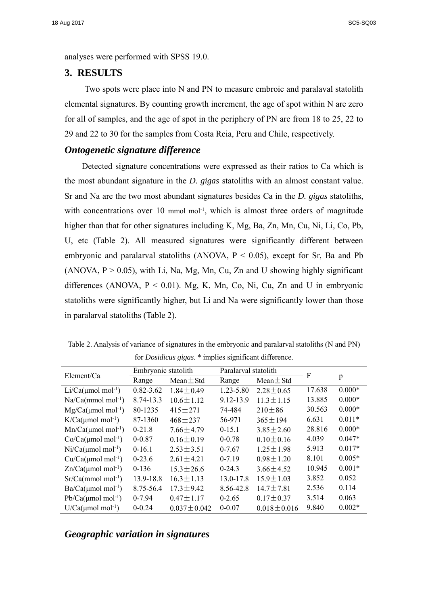analyses were performed with SPSS 19.0.

#### **3. RESULTS**

Two spots were place into N and PN to measure embroic and paralaval statolith elemental signatures. By counting growth increment, the age of spot within N are zero for all of samples, and the age of spot in the periphery of PN are from 18 to 25, 22 to 29 and 22 to 30 for the samples from Costa Rcia, Peru and Chile, respectively.

#### *Ontogenetic signature difference*

Detected signature concentrations were expressed as their ratios to Ca which is the most abundant signature in the *D. gigas* statoliths with an almost constant value. Sr and Na are the two most abundant signatures besides Ca in the *D. gigas* statoliths, with concentrations over 10 mmol mol<sup>-1</sup>, which is almost three orders of magnitude higher than that for other signatures including K, Mg, Ba, Zn, Mn, Cu, Ni, Li, Co, Pb, U, etc (Table 2). All measured signatures were significantly different between embryonic and paralarval statoliths (ANOVA,  $P < 0.05$ ), except for Sr, Ba and Pb (ANOVA,  $P > 0.05$ ), with Li, Na, Mg, Mn, Cu, Zn and U showing highly significant differences (ANOVA,  $P < 0.01$ ). Mg, K, Mn, Co, Ni, Cu, Zn and U in embryonic statoliths were significantly higher, but Li and Na were significantly lower than those in paralarval statoliths (Table 2).

| Table 2. Analysis of variance of signatures in the embryonic and paralarval statoliths (N and PN) |
|---------------------------------------------------------------------------------------------------|
| for <i>Dosidicus gigas</i> . * implies significant difference.                                    |

| Element/Ca                        | Embryonic statolith |                 | Paralarval statolith |                   | F      |          |  |
|-----------------------------------|---------------------|-----------------|----------------------|-------------------|--------|----------|--|
|                                   | Range               | Mean $\pm$ Std  | Range                | Mean $\pm$ Std    |        | p        |  |
| $Li/Ca(\mu mol \text{ mol}^{-1})$ | $0.82 - 3.62$       | $1.84 \pm 0.49$ | $1.23 - 5.80$        | $2.28 \pm 0.65$   | 17.638 | $0.000*$ |  |
| $Na/Ca(mmol mol-1)$               | 8.74-13.3           | $10.6 \pm 1.12$ | 9.12-13.9            | $11.3 \pm 1.15$   | 13.885 | $0.000*$ |  |
| $Mg/Ca(\mu mol \text{ mol}^{-1})$ | 80-1235             | $415 \pm 271$   | 74-484               | $210 \pm 86$      | 30.563 | $0.000*$ |  |
| $K/Ca(\mu mol \text{ mol}^{-1})$  | 87-1360             | $468 \pm 237$   | 56-971               | $365 \pm 194$     | 6.631  | $0.011*$ |  |
| $Mn/Ca(\mu mol mol^{-1})$         | $0-21.8$            | $7.66 \pm 4.79$ | $0-15.1$             | $3.85 \pm 2.60$   | 28.816 | $0.000*$ |  |
| $Co/Ca(\mu mol mol^{-1})$         | $0 - 0.87$          | $0.16 \pm 0.19$ | $0 - 0.78$           | $0.10 \pm 0.16$   | 4.039  | $0.047*$ |  |
| $Ni/Ca(\mu mol mol^{-1})$         | $0-16.1$            | $2.53 \pm 3.51$ | $0-7.67$             | $1.25 \pm 1.98$   | 5.913  | $0.017*$ |  |
| $Cu/Ca(\mu mol mol^{-1})$         | $0-23.6$            | $2.61 \pm 4.21$ | $0 - 7.19$           | $0.98 \pm 1.20$   | 8.101  | $0.005*$ |  |
| $Zn/Ca(\mu mol mol^{-1})$         | $0-136$             | $15.3 \pm 26.6$ | $0-24.3$             | $3.66 \pm 4.52$   | 10.945 | $0.001*$ |  |
| $Sr/Ca(mmol mol-1)$               | 13.9-18.8           | $16.3 \pm 1.13$ | 13.0-17.8            | $15.9 \pm 1.03$   | 3.852  | 0.052    |  |
| $Ba/Ca(\mu mol mol^{-1})$         | 8.75-56.4           | $17.3 \pm 9.42$ | 8.56-42.8            | $14.7 \pm 7.81$   | 2.536  | 0.114    |  |
| $Pb/Ca(\mu mol mol^{-1})$         | $0 - 7.94$          | $0.47 \pm 1.17$ | $0 - 2.65$           | $0.17 \pm 0.37$   | 3.514  | 0.063    |  |
| $U/Ca(\mu mol \text{ mol}^{-1})$  | $0 - 0.24$          | $0.037 + 0.042$ | $0 - 0.07$           | $0.018 \pm 0.016$ | 9.840  | $0.002*$ |  |

#### *Geographic variation in signatures*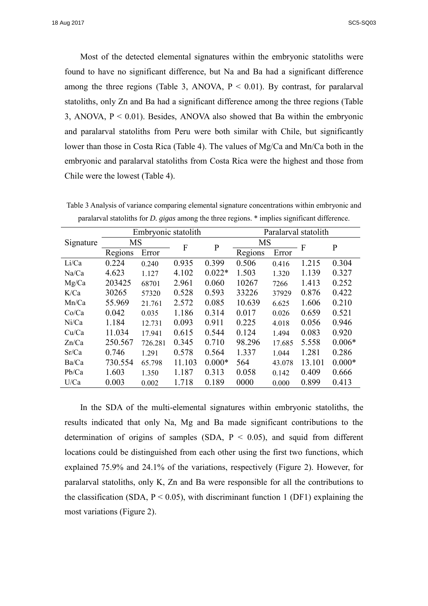Most of the detected elemental signatures within the embryonic statoliths were found to have no significant difference, but Na and Ba had a significant difference among the three regions (Table 3, ANOVA,  $P < 0.01$ ). By contrast, for paralarval statoliths, only Zn and Ba had a significant difference among the three regions (Table 3, ANOVA,  $P < 0.01$ ). Besides, ANOVA also showed that Ba within the embryonic and paralarval statoliths from Peru were both similar with Chile, but significantly lower than those in Costa Rica (Table 4). The values of Mg/Ca and Mn/Ca both in the embryonic and paralarval statoliths from Costa Rica were the highest and those from Chile were the lowest (Table 4).

|           |         | Embryonic statolith |        |              | Paralarval statolith |        |        |              |
|-----------|---------|---------------------|--------|--------------|----------------------|--------|--------|--------------|
| Signature | MS      |                     | F      | $\mathbf{P}$ | <b>MS</b>            |        | F      | $\mathbf{P}$ |
|           | Regions | Error               |        |              | Regions              | Error  |        |              |
| Li/Ca     | 0.224   | 0.240               | 0.935  | 0.399        | 0.506                | 0.416  | 1.215  | 0.304        |
| Na/Ca     | 4.623   | 1.127               | 4.102  | $0.022*$     | 1.503                | 1.320  | 1.139  | 0.327        |
| Mg/Ca     | 203425  | 68701               | 2.961  | 0.060        | 10267                | 7266   | 1.413  | 0.252        |
| K/Ca      | 30265   | 57320               | 0.528  | 0.593        | 33226                | 37929  | 0.876  | 0.422        |
| Mn/Ca     | 55.969  | 21.761              | 2.572  | 0.085        | 10.639               | 6.625  | 1.606  | 0.210        |
| Co/Ca     | 0.042   | 0.035               | 1.186  | 0.314        | 0.017                | 0.026  | 0.659  | 0.521        |
| Ni/Ca     | 1.184   | 12.731              | 0.093  | 0.911        | 0.225                | 4.018  | 0.056  | 0.946        |
| Cu/Ca     | 11.034  | 17.941              | 0.615  | 0.544        | 0.124                | 1.494  | 0.083  | 0.920        |
| Zn/Ca     | 250.567 | 726.281             | 0.345  | 0.710        | 98.296               | 17.685 | 5.558  | $0.006*$     |
| Sr/Ca     | 0.746   | 1.291               | 0.578  | 0.564        | 1.337                | 1.044  | 1.281  | 0.286        |
| Ba/Ca     | 730.554 | 65.798              | 11.103 | $0.000*$     | 564                  | 43.078 | 13.101 | $0.000*$     |
| Pb/Ca     | 1.603   | 1.350               | 1.187  | 0.313        | 0.058                | 0.142  | 0.409  | 0.666        |
| U/Ca      | 0.003   | 0.002               | 1.718  | 0.189        | 0000                 | 0.000  | 0.899  | 0.413        |

Table 3 Analysis of variance comparing elemental signature concentrations within embryonic and paralarval statoliths for *D. gigas* among the three regions. \* implies significant difference.

In the SDA of the multi-elemental signatures within embryonic statoliths, the results indicated that only Na, Mg and Ba made significant contributions to the determination of origins of samples (SDA,  $P < 0.05$ ), and squid from different locations could be distinguished from each other using the first two functions, which explained 75.9% and 24.1% of the variations, respectively (Figure 2). However, for paralarval statoliths, only K, Zn and Ba were responsible for all the contributions to the classification (SDA,  $P < 0.05$ ), with discriminant function 1 (DF1) explaining the most variations (Figure 2).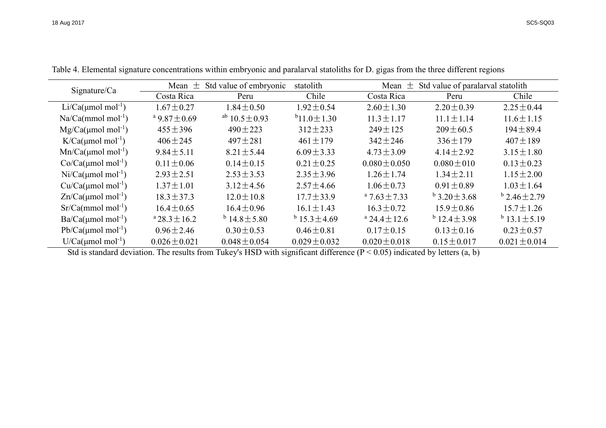| Sigma/Ca                             | Std value of embryonic<br>Mean $\pm$ |                               | statolith              |                              | Mean $\pm$ Std value of paralarval statolith |                        |  |
|--------------------------------------|--------------------------------------|-------------------------------|------------------------|------------------------------|----------------------------------------------|------------------------|--|
|                                      | Costa Rica                           | Peru                          | Chile                  | Costa Rica                   | Peru                                         | Chile                  |  |
| Li/Ca( $\mu$ mol mol <sup>-1</sup> ) | $1.67 \pm 0.27$                      | $1.84 \pm 0.50$               | $1.92 \pm 0.54$        | $2.60 \pm 1.30$              | $2.20 \pm 0.39$                              | $2.25 \pm 0.44$        |  |
| $Na/Ca(mmol mol-1)$                  | <sup>a</sup> 9.87 ± 0.69             | <sup>ab</sup> $10.5 \pm 0.93$ | $b_{11.0} \pm 1.30$    | $11.3 \pm 1.17$              | $11.1 \pm 1.14$                              | $11.6 \pm 1.15$        |  |
| $Mg/Ca(\mu mol \text{ mol}^{-1})$    | $455 \pm 396$                        | $490 \pm 223$                 | $312 \pm 233$          | $249 \pm 125$                | $209 \pm 60.5$                               | $194 \pm 89.4$         |  |
| $K/Ca(\mu mol \text{ mol}^{-1})$     | $406 \pm 245$                        | $497 \pm 281$                 | $461 \pm 179$          | $342 \pm 246$                | $336 \pm 179$                                | $407 \pm 189$          |  |
| $Mn/Ca( \mu mol mol^{-1})$           | $9.84 \pm 5.11$                      | $8.21 \pm 5.44$               | $6.09 \pm 3.33$        | $4.73 \pm 3.09$              | $4.14 \pm 2.92$                              | $3.15 \pm 1.80$        |  |
| $Co/Ca(\mu mol mol^{-1})$            | $0.11 \pm 0.06$                      | $0.14 \pm 0.15$               | $0.21 \pm 0.25$        | $0.080 \pm 0.050$            | $0.080 \pm 010$                              | $0.13 \pm 0.23$        |  |
| $Ni/Ca(umol mol-1)$                  | $2.93 \pm 2.51$                      | $2.53 \pm 3.53$               | $2.35 \pm 3.96$        | $1.26 \pm 1.74$              | $1.34 \pm 2.11$                              | $1.15 \pm 2.00$        |  |
| $Cu/Ca(\mu mol mol^{-1})$            | $1.37 \pm 1.01$                      | $3.12 \pm 4.56$               | $2.57 \pm 4.66$        | $1.06 \pm 0.73$              | $0.91 \pm 0.89$                              | $1.03 \pm 1.64$        |  |
| $Zn/Ca(\mu mol mol^{-1})$            | $18.3 \pm 37.3$                      | $12.0 \pm 10.8$               | $17.7 \pm 33.9$        | $47.63 \pm 7.33$             | $^{b}$ 3.20 $\pm$ 3.68                       | $^{b}$ 2.46 $\pm$ 2.79 |  |
| $Sr/Ca(mmol mol-1)$                  | $16.4 \pm 0.65$                      | $16.4 \pm 0.96$               | $16.1 \pm 1.43$        | $16.3 \pm 0.72$              | $15.9 \pm 0.86$                              | $15.7 \pm 1.26$        |  |
| $Ba/Ca(umol mol-1)$                  | $a$ 28.3 $\pm$ 16.2                  | $^{b}$ 14.8 $\pm$ 5.80        | $^{b}$ 15.3 $\pm$ 4.69 | <sup>a</sup> 24.4 $\pm$ 12.6 | $^{b}$ 12.4 $\pm$ 3.98                       | $^{b}$ 13.1 $\pm$ 5.19 |  |
| $Pb/Ca(\mu mol mol^{-1})$            | $0.96 \pm 2.46$                      | $0.30 \pm 0.53$               | $0.46 \pm 0.81$        | $0.17 \pm 0.15$              | $0.13 \pm 0.16$                              | $0.23 \pm 0.57$        |  |
| $U/Ca(\mu mol mol^{-1})$             | $0.026 \pm 0.021$                    | $0.048 \pm 0.054$             | $0.029 \pm 0.032$      | $0.020 \pm 0.018$            | $0.15 \pm 0.017$                             | $0.021 \pm 0.014$      |  |

Table 4. Elemental signature concentrations within embryonic and paralarval statoliths for D. gigas from the three different regions

Std is standard deviation. The results from Tukey's HSD with significant difference  $(P < 0.05)$  indicated by letters  $(a, b)$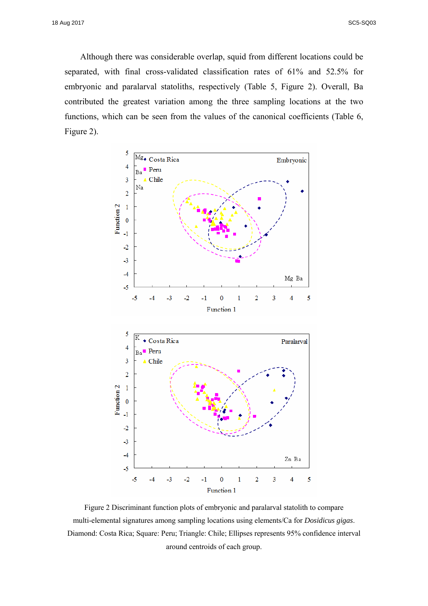Although there was considerable overlap, squid from different locations could be separated, with final cross-validated classification rates of 61% and 52.5% for embryonic and paralarval statoliths, respectively (Table 5, Figure 2). Overall, Ba contributed the greatest variation among the three sampling locations at the two functions, which can be seen from the values of the canonical coefficients (Table 6, Figure 2).



Figure 2 Discriminant function plots of embryonic and paralarval statolith to compare multi-elemental signatures among sampling locations using elements/Ca for *Dosidicus gigas*. Diamond: Costa Rica; Square: Peru; Triangle: Chile; Ellipses represents 95% confidence interval around centroids of each group.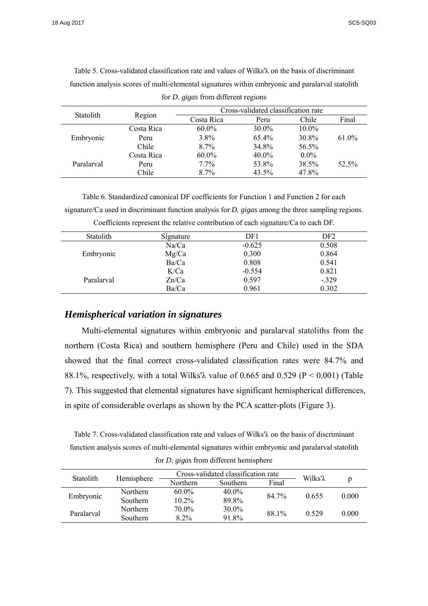| <b>Statolith</b> | Region     |            |          |                                                                                             |       |
|------------------|------------|------------|----------|---------------------------------------------------------------------------------------------|-------|
|                  |            | Costa Rica | Peru     | Cross-validated classification rate<br>Chile<br>10.0%<br>30.8%<br>56.5%<br>$0.0\%$<br>38.5% | Final |
|                  | Costa Rica | $60.0\%$   | $30.0\%$ |                                                                                             |       |
| Embryonic        | Peru       | 3.8%       | 65.4%    |                                                                                             | 61.0% |
|                  | Chile      | $8.7\%$    | 34.8%    |                                                                                             |       |
|                  | Costa Rica | $60.0\%$   | $40.0\%$ |                                                                                             |       |
| Paralarval       | Peru       | $7.7\%$    | 53.8%    |                                                                                             | 52.5% |
|                  | Chile      | $8.7\%$    | 43.5%    | 47.8%                                                                                       |       |

Table 5. Cross-validated classification rate and values of Wilks'λ on the basis of discriminant function analysis scores of multi-elemental signatures within embryonic and paralarval statolith

for *D. gigas* from different regions

Table 6. Standardized canonical DF coefficients for Function 1 and Function 2 for each signature/Ca used in discriminant function analysis for *D. gigas* among the three sampling regions. Coefficients represent the relative contribution of each signature/Ca to each DF.

| Statolith  | Signature | DF1      | DF <sub>2</sub> |
|------------|-----------|----------|-----------------|
|            | Na/Ca     | $-0.625$ | 0.508           |
| Embryonic  | Mg/Ca     | 0.300    | 0.864           |
|            | Ba/Ca     | 0.808    | 0.541           |
|            | K/Ca      | $-0.554$ | 0.821           |
| Paralarval | Zn/Ca     | 0.597    | $-.329$         |
|            | Ba/Ca     | 0.961    | 0.302           |

#### *Hemispherical variation in signatures*

Multi-elemental signatures within embryonic and paralarval statoliths from the northern (Costa Rica) and southern hemisphere (Peru and Chile) used in the SDA showed that the final correct cross-validated classification rates were 84.7% and 88.1%, respectively, with a total Wilks' $\lambda$  value of 0.665 and 0.529 (P < 0.001) (Table 7). This suggested that elemental signatures have significant hemispherical differences, in spite of considerable overlaps as shown by the PCA scatter-plots (Figure 3).

Table 7. Cross-validated classification rate and values of Wilks'λ on the basis of discriminant function analysis scores of multi-elemental signatures within embryonic and paralarval statolith

for *D. gigas* from different hemisphere

| <b>Statolith</b> | Hemisphere      | Cross-validated classification rate | Wilks'λ   |       |       |       |
|------------------|-----------------|-------------------------------------|-----------|-------|-------|-------|
|                  |                 | Northern                            | Southern. | Final |       |       |
|                  | Northern        | $60.0\%$                            | 40.0%     | 84.7% | 0.655 | 0.000 |
| Embryonic        | <b>Southern</b> | $10.2\%$                            | 89.8%     |       |       |       |
|                  | Northern        | 70.0%                               | 30.0%     | 88.1% | 0.529 | 0.000 |
| Paralarval       | Southern        | 8.2%                                | 91.8%     |       |       |       |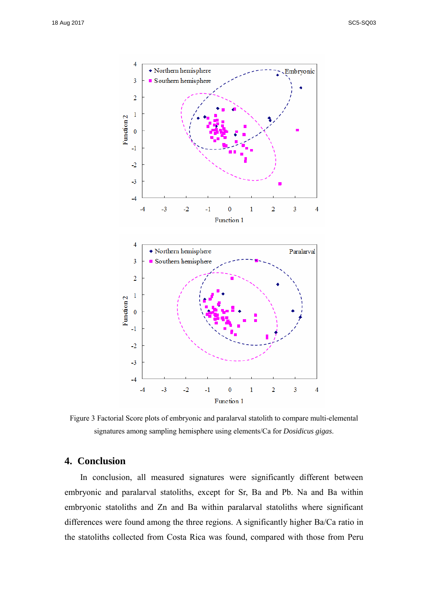

Figure 3 Factorial Score plots of embryonic and paralarval statolith to compare multi-elemental signatures among sampling hemisphere using elements/Ca for *Dosidicus gigas*.

### **4. Conclusion**

In conclusion, all measured signatures were significantly different between embryonic and paralarval statoliths, except for Sr, Ba and Pb. Na and Ba within embryonic statoliths and Zn and Ba within paralarval statoliths where significant differences were found among the three regions. A significantly higher Ba/Ca ratio in the statoliths collected from Costa Rica was found, compared with those from Peru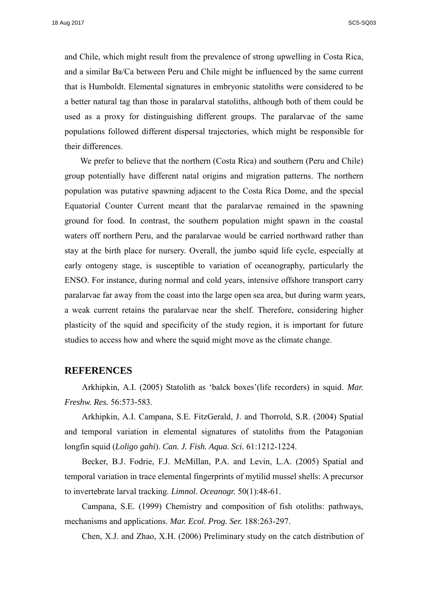and Chile, which might result from the prevalence of strong upwelling in Costa Rica, and a similar Ba/Ca between Peru and Chile might be influenced by the same current that is Humboldt. Elemental signatures in embryonic statoliths were considered to be a better natural tag than those in paralarval statoliths, although both of them could be used as a proxy for distinguishing different groups. The paralarvae of the same populations followed different dispersal trajectories, which might be responsible for their differences.

We prefer to believe that the northern (Costa Rica) and southern (Peru and Chile) group potentially have different natal origins and migration patterns. The northern population was putative spawning adjacent to the Costa Rica Dome, and the special Equatorial Counter Current meant that the paralarvae remained in the spawning ground for food. In contrast, the southern population might spawn in the coastal waters off northern Peru, and the paralarvae would be carried northward rather than stay at the birth place for nursery. Overall, the jumbo squid life cycle, especially at early ontogeny stage, is susceptible to variation of oceanography, particularly the ENSO. For instance, during normal and cold years, intensive offshore transport carry paralarvae far away from the coast into the large open sea area, but during warm years, a weak current retains the paralarvae near the shelf. Therefore, considering higher plasticity of the squid and specificity of the study region, it is important for future studies to access how and where the squid might move as the climate change.

#### **REFERENCES**

Arkhipkin, A.I. (2005) Statolith as 'balck boxes'(life recorders) in squid. *Mar. Freshw. Res.* 56:573-583.

Arkhipkin, A.I. Campana, S.E. FitzGerald, J. and Thorrold, S.R. (2004) Spatial and temporal variation in elemental signatures of statoliths from the Patagonian longfin squid (*Loligo gahi*). *Can. J. Fish. Aqua. Sci.* 61:1212-1224.

Becker, B.J. Fodrie, F.J. McMillan, P.A. and Levin, L.A. (2005) Spatial and temporal variation in trace elemental fingerprints of mytilid mussel shells: A precursor to invertebrate larval tracking. *Limnol. Oceanogr.* 50(1):48-61.

Campana, S.E. (1999) Chemistry and composition of fish otoliths: pathways, mechanisms and applications. *Mar. Ecol. Prog. Ser.* 188:263-297.

Chen, X.J. and Zhao, X.H. (2006) Preliminary study on the catch distribution of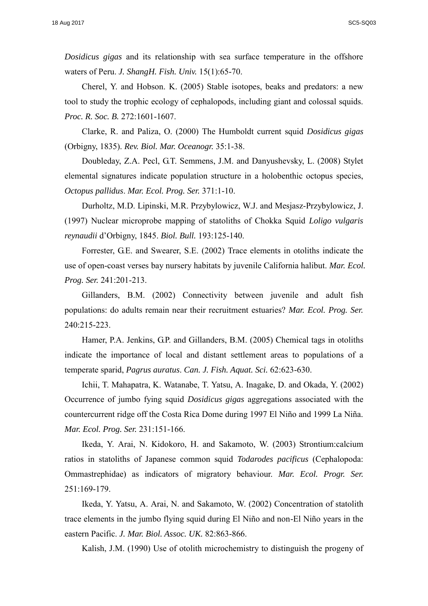*Dosidicus gigas* and its relationship with sea surface temperature in the offshore waters of Peru. *J. ShangH. Fish. Univ.* 15(1):65-70.

Cherel, Y. and Hobson. K. (2005) Stable isotopes, beaks and predators: a new tool to study the trophic ecology of cephalopods, including giant and colossal squids. *Proc. R. Soc. B.* 272:1601-1607.

Clarke, R. and Paliza, O. (2000) The Humboldt current squid *Dosidicus gigas* (Orbigny, 1835). *Rev. Biol. Mar. Oceanogr.* 35:1-38.

Doubleday, Z.A. Pecl, G.T. Semmens, J.M. and Danyushevsky, L. (2008) Stylet elemental signatures indicate population structure in a holobenthic octopus species, *Octopus pallidus*. *Mar. Ecol. Prog. Ser.* 371:1-10.

Durholtz, M.D. Lipinski, M.R. Przybylowicz, W.J. and Mesjasz-Przybylowicz, J. (1997) Nuclear microprobe mapping of statoliths of Chokka Squid *Loligo vulgaris reynaudii* d'Orbigny, 1845. *Biol. Bull.* 193:125-140.

Forrester, G.E. and Swearer, S.E. (2002) Trace elements in otoliths indicate the use of open-coast verses bay nursery habitats by juvenile California halibut. *Mar. Ecol. Prog. Ser.* 241:201-213.

Gillanders, B.M. (2002) Connectivity between juvenile and adult fish populations: do adults remain near their recruitment estuaries? *Mar. Ecol. Prog. Ser.* 240:215-223.

Hamer, P.A. Jenkins, G.P. and Gillanders, B.M. (2005) Chemical tags in otoliths indicate the importance of local and distant settlement areas to populations of a temperate sparid, *Pagrus auratus*. *Can. J. Fish. Aquat. Sci.* 62:623-630.

Ichii, T. Mahapatra, K. Watanabe, T. Yatsu, A. Inagake, D. and Okada, Y. (2002) Occurrence of jumbo fying squid *Dosidicus gigas* aggregations associated with the countercurrent ridge off the Costa Rica Dome during 1997 El Niño and 1999 La Niña. *Mar. Ecol. Prog. Ser.* 231:151-166.

Ikeda, Y. Arai, N. Kidokoro, H. and Sakamoto, W. (2003) Strontium:calcium ratios in statoliths of Japanese common squid *Todarodes pacificus* (Cephalopoda: Ommastrephidae) as indicators of migratory behaviour. *Mar. Ecol. Progr. Ser.* 251:169-179.

Ikeda, Y. Yatsu, A. Arai, N. and Sakamoto, W. (2002) Concentration of statolith trace elements in the jumbo flying squid during El Niño and non-El Niño years in the eastern Pacific. *J. Mar. Biol. Assoc. UK.* 82:863-866.

Kalish, J.M. (1990) Use of otolith microchemistry to distinguish the progeny of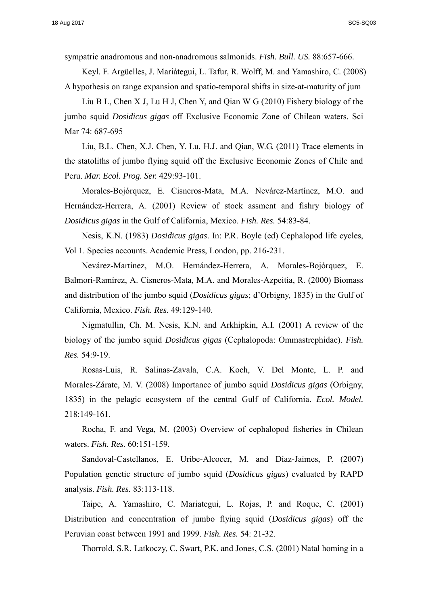sympatric anadromous and non-anadromous salmonids. *Fish. Bull. US.* 88:657-666.

Keyl. F. Argüelles, J. Mariátegui, L. Tafur, R. Wolff, M. and Yamashiro, C. (2008) A hypothesis on range expansion and spatio-temporal shifts in size-at-maturity of jum

Liu B L, Chen X J, Lu H J, Chen Y, and Qian W G (2010) Fishery biology of the jumbo squid *Dosidicus gigas* off Exclusive Economic Zone of Chilean waters. Sci Mar 74: 687-695

Liu, B.L. Chen, X.J. Chen, Y. Lu, H.J. and Qian, W.G. (2011) Trace elements in the statoliths of jumbo flying squid off the Exclusive Economic Zones of Chile and Peru. *Mar. Ecol. Prog. Ser.* 429:93-101.

Morales-Bojórquez, E. Cisneros-Mata, M.A. Nevárez-Martínez, M.O. and Hernández-Herrera, A. (2001) Review of stock assment and fishry biology of *Dosidicus gigas* in the Gulf of California, Mexico. *Fish. Res.* 54:83-84.

Nesis, K.N. (1983) *Dosidicus gigas*. In: P.R. Boyle (ed) Cephalopod life cycles, Vol 1. Species accounts. Academic Press, London, pp. 216-231.

Nevárez-Martínez, M.O. Hernández-Herrera, A. Morales-Bojórquez, E. Balmori-Ramírez, A. Cisneros-Mata, M.A. and Morales-Azpeitia, R. (2000) Biomass and distribution of the jumbo squid (*Dosidicus gigas*; d'Orbigny, 1835) in the Gulf of California, Mexico. *Fish. Res.* 49:129-140.

Nigmatullin, Ch. M. Nesis, K.N. and Arkhipkin, A.I. (2001) A review of the biology of the jumbo squid *Dosidicus gigas* (Cephalopoda: Ommastrephidae). *Fish. Res.* 54:9-19.

Rosas-Luis, R. Salinas-Zavala, C.A. Koch, V. Del Monte, L. P. and Morales-Zárate, M. V. (2008) Importance of jumbo squid *Dosidicus gigas* (Orbigny, 1835) in the pelagic ecosystem of the central Gulf of California. *Ecol. Model.* 218:149-161.

Rocha, F. and Vega, M. (2003) Overview of cephalopod fisheries in Chilean waters. *Fish. Res.* 60:151-159.

Sandoval-Castellanos, E. Uribe-Alcocer, M. and Díaz-Jaimes, P. (2007) Population genetic structure of jumbo squid (*Dosidicus gigas*) evaluated by RAPD analysis. *Fish. Res.* 83:113-118.

Taipe, A. Yamashiro, C. Mariategui, L. Rojas, P. and Roque, C. (2001) Distribution and concentration of jumbo flying squid (*Dosidicus gigas*) off the Peruvian coast between 1991 and 1999. *Fish. Res.* 54: 21-32.

Thorrold, S.R. Latkoczy, C. Swart, P.K. and Jones, C.S. (2001) Natal homing in a